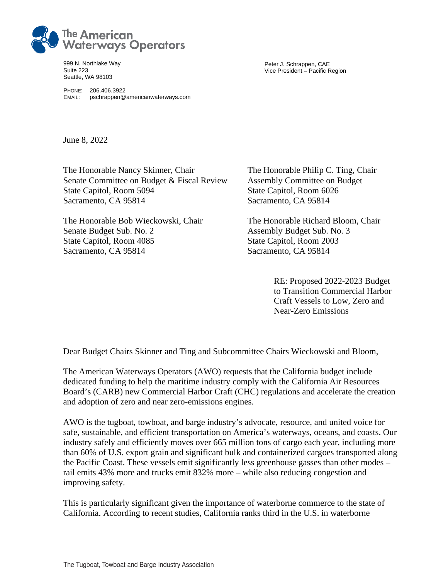

999 N. Northlake Way Suite 223 Seattle, WA 98103

PHONE: 206.406.3922 EMAIL: pschrappen@americanwaterways.com Peter J. Schrappen, CAE Vice President – Pacific Region

June 8, 2022

The Honorable Nancy Skinner, Chair The Honorable Philip C. Ting, Chair Senate Committee on Budget & Fiscal Review Assembly Committee on Budget State Capitol, Room 5094 State Capitol, Room 6026 Sacramento, CA 95814 Sacramento, CA 95814

Senate Budget Sub. No. 2 Assembly Budget Sub. No. 3 State Capitol, Room 4085 State Capitol, Room 2003 Sacramento, CA 95814 Sacramento, CA 95814

The Honorable Bob Wieckowski, Chair The Honorable Richard Bloom, Chair

RE: Proposed 2022-2023 Budget to Transition Commercial Harbor Craft Vessels to Low, Zero and Near-Zero Emissions

Dear Budget Chairs Skinner and Ting and Subcommittee Chairs Wieckowski and Bloom,

The American Waterways Operators (AWO) requests that the California budget include dedicated funding to help the maritime industry comply with the California Air Resources Board's (CARB) new Commercial Harbor Craft (CHC) regulations and accelerate the creation and adoption of zero and near zero-emissions engines.

AWO is the tugboat, towboat, and barge industry's advocate, resource, and united voice for safe, sustainable, and efficient transportation on America's waterways, oceans, and coasts. Our industry safely and efficiently moves over 665 million tons of cargo each year, including more than 60% of U.S. export grain and significant bulk and containerized cargoes transported along the Pacific Coast. These vessels emit significantly less greenhouse gasses than other modes – rail emits 43% more and trucks emit 832% more – while also reducing congestion and improving safety.

This is particularly significant given the importance of waterborne commerce to the state of California. According to recent studies, California ranks third in the U.S. in waterborne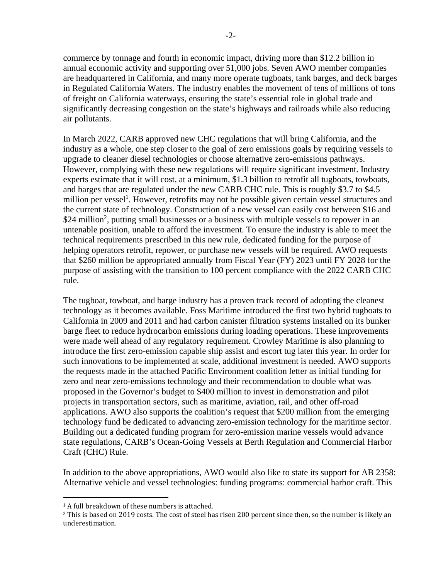commerce by tonnage and fourth in economic impact, driving more than \$12.2 billion in annual economic activity and supporting over 51,000 jobs. Seven AWO member companies are headquartered in California, and many more operate tugboats, tank barges, and deck barges in Regulated California Waters. The industry enables the movement of tens of millions of tons of freight on California waterways, ensuring the state's essential role in global trade and significantly decreasing congestion on the state's highways and railroads while also reducing air pollutants.

In March 2022, CARB approved new CHC regulations that will bring California, and the industry as a whole, one step closer to the goal of zero emissions goals by requiring vessels to upgrade to cleaner diesel technologies or choose alternative zero-emissions pathways. However, complying with these new regulations will require significant investment. Industry experts estimate that it will cost, at a minimum, \$1.3 billion to retrofit all tugboats, towboats, and barges that are regulated under the new CARB CHC rule. This is roughly \$3.7 to \$4.5 million per vessel<sup>1</sup>. However, retrofits may not be possible given certain vessel structures and the current state of technology. Construction of a new vessel can easily cost between \$16 and \$24 million<sup>2</sup>, putting small businesses or a business with multiple vessels to repower in an untenable position, unable to afford the investment. To ensure the industry is able to meet the technical requirements prescribed in this new rule, dedicated funding for the purpose of helping operators retrofit, repower, or purchase new vessels will be required. AWO requests that \$260 million be appropriated annually from Fiscal Year (FY) 2023 until FY 2028 for the purpose of assisting with the transition to 100 percent compliance with the 2022 CARB CHC rule.

The tugboat, towboat, and barge industry has a proven track record of adopting the cleanest technology as it becomes available. Foss Maritime introduced the first two hybrid tugboats to California in 2009 and 2011 and had carbon canister filtration systems installed on its bunker barge fleet to reduce hydrocarbon emissions during loading operations. These improvements were made well ahead of any regulatory requirement. Crowley Maritime is also planning to introduce the first zero-emission capable ship assist and escort tug later this year. In order for such innovations to be implemented at scale, additional investment is needed. AWO supports the requests made in the attached Pacific Environment coalition letter as initial funding for zero and near zero-emissions technology and their recommendation to double what was proposed in the Governor's budget to \$400 million to invest in demonstration and pilot projects in transportation sectors, such as maritime, aviation, rail, and other off-road applications. AWO also supports the coalition's request that \$200 million from the emerging technology fund be dedicated to advancing zero-emission technology for the maritime sector. Building out a dedicated funding program for zero-emission marine vessels would advance state regulations, CARB's Ocean-Going Vessels at Berth Regulation and Commercial Harbor Craft (CHC) Rule.

In addition to the above appropriations, AWO would also like to state its support for AB 2358: Alternative vehicle and vessel technologies: funding programs: commercial harbor craft. This

<sup>&</sup>lt;sup>1</sup> A full breakdown of these numbers is attached.

<sup>2</sup> This is based on 2019 costs. The cost of steel has risen 200 percent since then, so the number is likely an underestimation.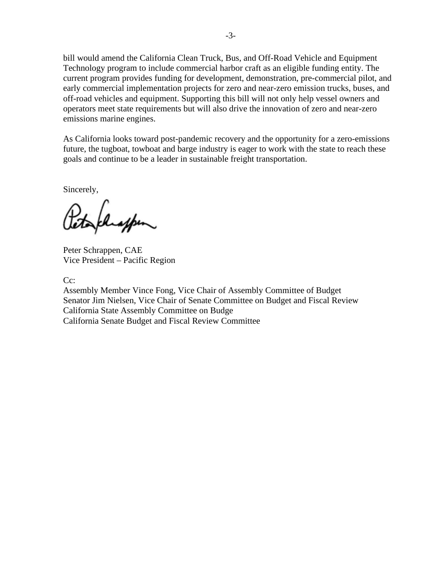bill would amend the California Clean Truck, Bus, and Off-Road Vehicle and Equipment Technology program to include commercial harbor craft as an eligible funding entity. The current program provides funding for development, demonstration, pre-commercial pilot, and early commercial implementation projects for zero and near-zero emission trucks, buses, and off-road vehicles and equipment. Supporting this bill will not only help vessel owners and operators meet state requirements but will also drive the innovation of zero and near-zero emissions marine engines.

As California looks toward post-pandemic recovery and the opportunity for a zero-emissions future, the tugboat, towboat and barge industry is eager to work with the state to reach these goals and continue to be a leader in sustainable freight transportation.

Sincerely,

Peter Schrappen, CAE Vice President – Pacific Region

Cc:

Assembly Member Vince Fong, Vice Chair of Assembly Committee of Budget Senator Jim Nielsen, Vice Chair of Senate Committee on Budget and Fiscal Review California State Assembly Committee on Budge California Senate Budget and Fiscal Review Committee